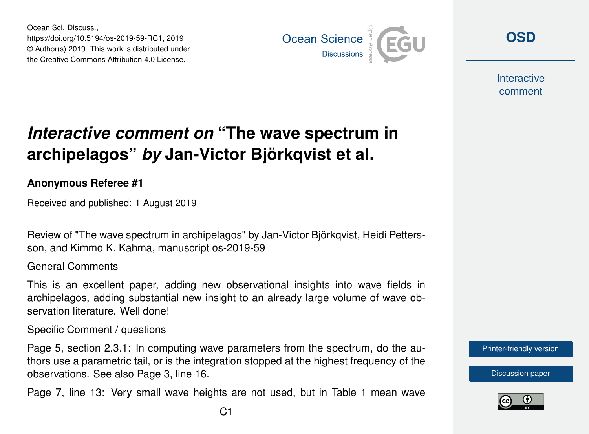Ocean Sci. Discuss., https://doi.org/10.5194/os-2019-59-RC1, 2019 © Author(s) 2019. This work is distributed under the Creative Commons Attribution 4.0 License.



**[OSD](https://www.ocean-sci-discuss.net/)**

**Interactive** comment

## *Interactive comment on* **"The wave spectrum in archipelagos"** *by* **Jan-Victor Björkqvist et al.**

## **Anonymous Referee #1**

Received and published: 1 August 2019

Review of "The wave spectrum in archipelagos" by Jan-Victor Björkqvist, Heidi Pettersson, and Kimmo K. Kahma, manuscript os-2019-59

## General Comments

This is an excellent paper, adding new observational insights into wave fields in archipelagos, adding substantial new insight to an already large volume of wave observation literature. Well done!

Specific Comment / questions

Page 5, section 2.3.1: In computing wave parameters from the spectrum, do the authors use a parametric tail, or is the integration stopped at the highest frequency of the observations. See also Page 3, line 16.

Page 7, line 13: Very small wave heights are not used, but in Table 1 mean wave



[Discussion paper](https://www.ocean-sci-discuss.net/os-2019-59)